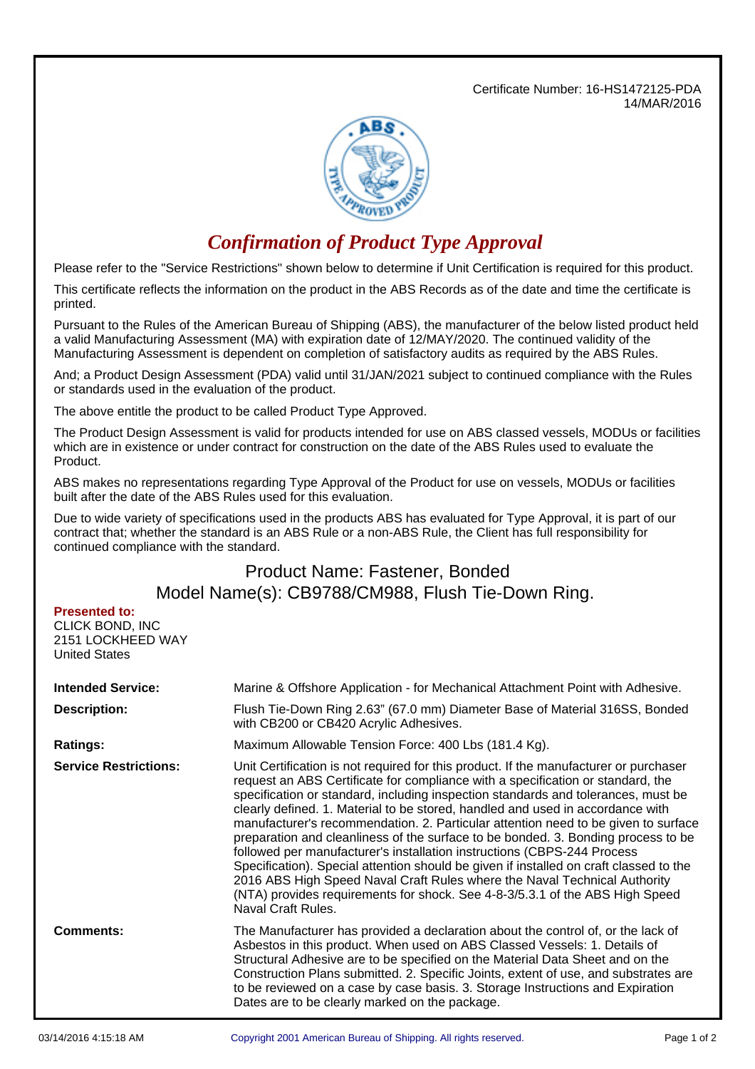Certificate Number: 16-HS1472125-PDA 14/MAR/2016



## *Confirmation of Product Type Approval*

Please refer to the "Service Restrictions" shown below to determine if Unit Certification is required for this product.

This certificate reflects the information on the product in the ABS Records as of the date and time the certificate is printed.

Pursuant to the Rules of the American Bureau of Shipping (ABS), the manufacturer of the below listed product held a valid Manufacturing Assessment (MA) with expiration date of 12/MAY/2020. The continued validity of the Manufacturing Assessment is dependent on completion of satisfactory audits as required by the ABS Rules.

And; a Product Design Assessment (PDA) valid until 31/JAN/2021 subject to continued compliance with the Rules or standards used in the evaluation of the product.

The above entitle the product to be called Product Type Approved.

The Product Design Assessment is valid for products intended for use on ABS classed vessels, MODUs or facilities which are in existence or under contract for construction on the date of the ABS Rules used to evaluate the Product.

ABS makes no representations regarding Type Approval of the Product for use on vessels, MODUs or facilities built after the date of the ABS Rules used for this evaluation.

Due to wide variety of specifications used in the products ABS has evaluated for Type Approval, it is part of our contract that; whether the standard is an ABS Rule or a non-ABS Rule, the Client has full responsibility for continued compliance with the standard.

## Product Name: Fastener, Bonded Model Name(s): CB9788/CM988, Flush Tie-Down Ring.

| <b>Presented to:</b> |
|----------------------|
| CLICK BOND. INC      |
| 2151 LOCKHEED WAY    |
| United States        |

| <b>Intended Service:</b><br><b>Description:</b> | Marine & Offshore Application - for Mechanical Attachment Point with Adhesive.<br>Flush Tie-Down Ring 2.63" (67.0 mm) Diameter Base of Material 316SS, Bonded<br>with CB200 or CB420 Acrylic Adhesives.                                                                                                                                                                                                                                                                                                                                                                                                                                                                                                                                                                                                                                                                            |
|-------------------------------------------------|------------------------------------------------------------------------------------------------------------------------------------------------------------------------------------------------------------------------------------------------------------------------------------------------------------------------------------------------------------------------------------------------------------------------------------------------------------------------------------------------------------------------------------------------------------------------------------------------------------------------------------------------------------------------------------------------------------------------------------------------------------------------------------------------------------------------------------------------------------------------------------|
| <b>Ratings:</b>                                 | Maximum Allowable Tension Force: 400 Lbs (181.4 Kg).                                                                                                                                                                                                                                                                                                                                                                                                                                                                                                                                                                                                                                                                                                                                                                                                                               |
| <b>Service Restrictions:</b>                    | Unit Certification is not required for this product. If the manufacturer or purchaser<br>request an ABS Certificate for compliance with a specification or standard, the<br>specification or standard, including inspection standards and tolerances, must be<br>clearly defined. 1. Material to be stored, handled and used in accordance with<br>manufacturer's recommendation. 2. Particular attention need to be given to surface<br>preparation and cleanliness of the surface to be bonded. 3. Bonding process to be<br>followed per manufacturer's installation instructions (CBPS-244 Process<br>Specification). Special attention should be given if installed on craft classed to the<br>2016 ABS High Speed Naval Craft Rules where the Naval Technical Authority<br>(NTA) provides requirements for shock. See 4-8-3/5.3.1 of the ABS High Speed<br>Naval Craft Rules. |
| <b>Comments:</b>                                | The Manufacturer has provided a declaration about the control of, or the lack of<br>Asbestos in this product. When used on ABS Classed Vessels: 1. Details of<br>Structural Adhesive are to be specified on the Material Data Sheet and on the<br>Construction Plans submitted. 2. Specific Joints, extent of use, and substrates are<br>to be reviewed on a case by case basis. 3. Storage Instructions and Expiration<br>Dates are to be clearly marked on the package.                                                                                                                                                                                                                                                                                                                                                                                                          |